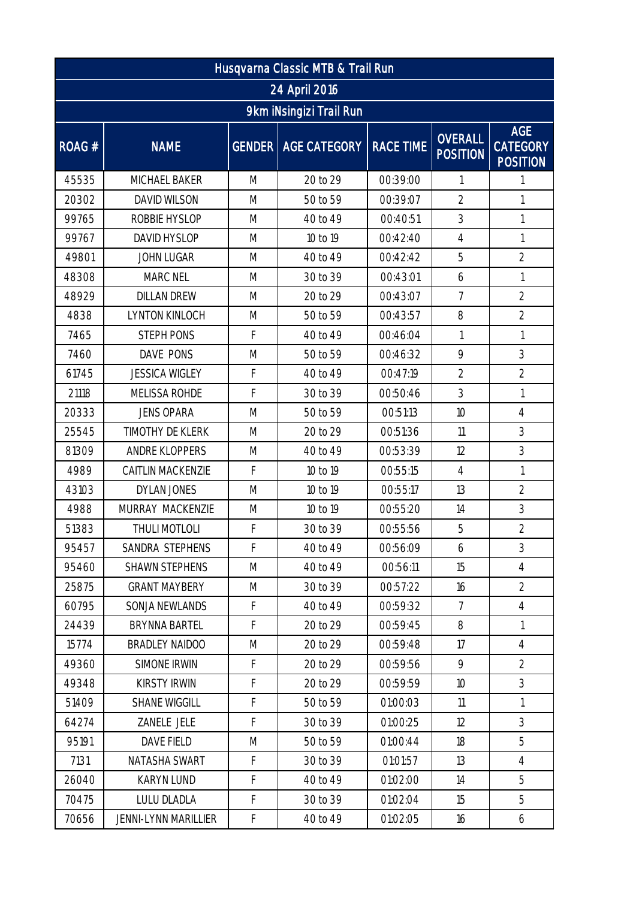| Husqvarna Classic MTB & Trail Run |                             |   |                              |                  |                                   |                                                  |  |  |  |  |  |
|-----------------------------------|-----------------------------|---|------------------------------|------------------|-----------------------------------|--------------------------------------------------|--|--|--|--|--|
| 24 April 2016                     |                             |   |                              |                  |                                   |                                                  |  |  |  |  |  |
| 9km iNsingizi Trail Run           |                             |   |                              |                  |                                   |                                                  |  |  |  |  |  |
| ROAG #                            | <b>NAME</b>                 |   | <b>GENDER   AGE CATEGORY</b> | <b>RACE TIME</b> | <b>OVERALL</b><br><b>POSITION</b> | <b>AGE</b><br><b>CATEGORY</b><br><b>POSITION</b> |  |  |  |  |  |
| 45535                             | MICHAEL BAKER               | M | 20 to 29                     | 00:39:00         |                                   |                                                  |  |  |  |  |  |
| 20302                             | <b>DAVID WILSON</b>         | M | 50 to 59                     | 00:39:07         | $\overline{2}$                    | 1                                                |  |  |  |  |  |
| 99765                             | ROBBIE HYSLOP               | M | 40 to 49                     | 00:40:51         | 3                                 | 1                                                |  |  |  |  |  |
| 99767                             | DAVID HYSLOP                | M | 10 to 19                     | 00:42:40         | $\overline{4}$                    | 1                                                |  |  |  |  |  |
| 49801                             | <b>JOHN LUGAR</b>           | M | 40 to 49                     | 00:42:42         | 5                                 | $\overline{2}$                                   |  |  |  |  |  |
| 48308                             | MARC NEL                    | M | 30 to 39                     | 00:43:01         | 6                                 | 1                                                |  |  |  |  |  |
| 48929                             | <b>DILLAN DREW</b>          | M | 20 to 29                     | 00:43:07         | $\overline{7}$                    | $\overline{2}$                                   |  |  |  |  |  |
| 4838                              | LYNTON KINLOCH              | M | 50 to 59                     | 00:43:57         | 8                                 | $\overline{2}$                                   |  |  |  |  |  |
| 7465                              | <b>STEPH PONS</b>           | F | 40 to 49                     | 00:46:04         | $\mathbf{1}$                      | $\mathbf{1}$                                     |  |  |  |  |  |
| 7460                              | DAVE PONS                   | M | 50 to 59                     | 00:46:32         | 9                                 | 3                                                |  |  |  |  |  |
| 61745                             | <b>JESSICA WIGLEY</b>       | F | 40 to 49                     | 00:47:19         | $\overline{2}$                    | $\overline{2}$                                   |  |  |  |  |  |
| 21118                             | MELISSA ROHDE               | F | 30 to 39                     | 00:50:46         | 3                                 | 1                                                |  |  |  |  |  |
| 20333                             | <b>JENS OPARA</b>           | M | 50 to 59                     | 00:51:13         | 10                                | $\overline{4}$                                   |  |  |  |  |  |
| 25545                             | TIMOTHY DE KLERK            | M | 20 to 29                     | 00:51:36         | 11                                | 3                                                |  |  |  |  |  |
| 81309                             | ANDRE KLOPPERS              | M | 40 to 49                     | 00:53:39         | 12                                | 3                                                |  |  |  |  |  |
| 4989                              | CAITLIN MACKENZIE           | F | 10 to 19                     | 00:55:15         | $\overline{4}$                    | 1                                                |  |  |  |  |  |
| 43103                             | DYLAN JONES                 | M | 10 to 19                     | 00:55:17         | 13                                | $\overline{2}$                                   |  |  |  |  |  |
| 4988                              | MURRAY MACKENZIE            | M | 10 to 19                     | 00:55:20         | 14                                | 3                                                |  |  |  |  |  |
| 51383                             | THULI MOTLOLI               | F | 30 to 39                     | 00:55:56         | 5                                 | $\overline{2}$                                   |  |  |  |  |  |
| 95457                             | SANDRA STEPHENS             | F | 40 to 49                     | 00:56:09         | 6                                 | 3                                                |  |  |  |  |  |
| 95460                             | <b>SHAWN STEPHENS</b>       | M | 40 to 49                     | 00:56:11         | 15                                | $\overline{4}$                                   |  |  |  |  |  |
| 25875                             | <b>GRANT MAYBERY</b>        | M | 30 to 39                     | 00:57:22         | 16                                | $\overline{2}$                                   |  |  |  |  |  |
| 60795                             | SONJA NEWLANDS              | F | 40 to 49                     | 00:59:32         | $7\overline{ }$                   | $\overline{4}$                                   |  |  |  |  |  |
| 24439                             | <b>BRYNNA BARTEL</b>        | F | 20 to 29                     | 00:59:45         | 8                                 | 1                                                |  |  |  |  |  |
| 15774                             | <b>BRADLEY NAIDOO</b>       | M | 20 to 29                     | 00:59:48         | 17                                | $\overline{4}$                                   |  |  |  |  |  |
| 49360                             | SIMONE IRWIN                | F | 20 to 29                     | 00:59:56         | 9                                 | $\overline{2}$                                   |  |  |  |  |  |
| 49348                             | <b>KIRSTY IRWIN</b>         | F | 20 to 29                     | 00:59:59         | 10                                | 3                                                |  |  |  |  |  |
| 51409                             | SHANE WIGGILL               | F | 50 to 59                     | 01:00:03         | 11                                | $\mathbf{1}$                                     |  |  |  |  |  |
| 64274                             | ZANELE JELE                 | F | 30 to 39                     | 01:00:25         | 12                                | 3                                                |  |  |  |  |  |
| 95191                             | DAVE FIELD                  | M | 50 to 59                     | 01:00:44         | 18                                | 5                                                |  |  |  |  |  |
| 7131                              | NATASHA SWART               | F | 30 to 39                     | 01:01:57         | 13                                | $\overline{4}$                                   |  |  |  |  |  |
| 26040                             | <b>KARYN LUND</b>           | F | 40 to 49                     | 01:02:00         | 14                                | 5                                                |  |  |  |  |  |
| 70475                             | LULU DLADLA                 | F | 30 to 39                     | 01:02:04         | 15                                | 5                                                |  |  |  |  |  |
| 70656                             | <b>JENNI-LYNN MARILLIER</b> | F | 40 to 49                     | 01:02:05         | 16                                | 6                                                |  |  |  |  |  |